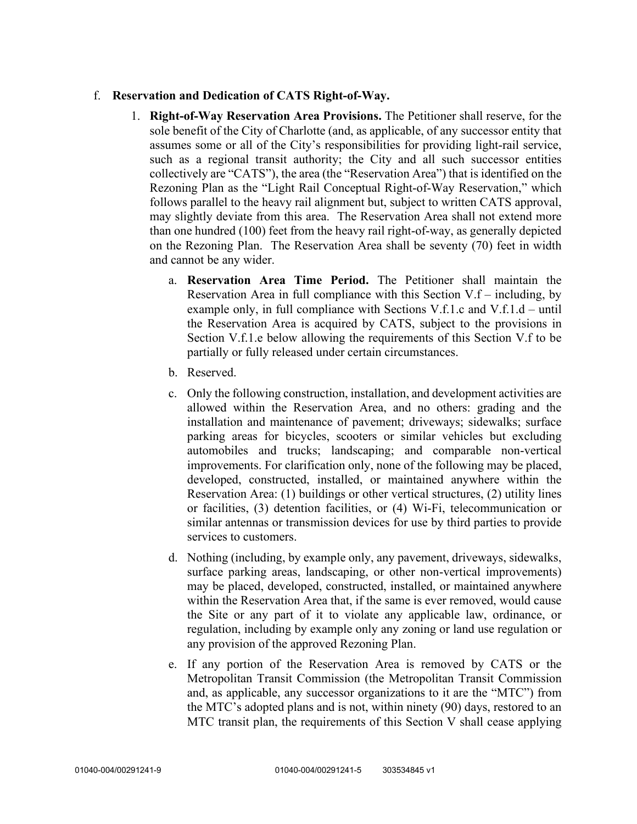## f. **Reservation and Dedication of CATS Right-of-Way.**

- 1. **Right-of-Way Reservation Area Provisions.** The Petitioner shall reserve, for the sole benefit of the City of Charlotte (and, as applicable, of any successor entity that assumes some or all of the City's responsibilities for providing light-rail service, such as a regional transit authority; the City and all such successor entities collectively are "CATS"), the area (the "Reservation Area") that is identified on the Rezoning Plan as the "Light Rail Conceptual Right-of-Way Reservation," which follows parallel to the heavy rail alignment but, subject to written CATS approval, may slightly deviate from this area. The Reservation Area shall not extend more than one hundred (100) feet from the heavy rail right-of-way, as generally depicted on the Rezoning Plan. The Reservation Area shall be seventy (70) feet in width and cannot be any wider.
	- a. **Reservation Area Time Period.** The Petitioner shall maintain the Reservation Area in full compliance with this Section V.f – including, by example only, in full compliance with Sections V.f.1.c and V.f.1.d – until the Reservation Area is acquired by CATS, subject to the provisions in Section V.f.1.e below allowing the requirements of this Section V.f to be partially or fully released under certain circumstances.
	- b. Reserved.
	- c. Only the following construction, installation, and development activities are allowed within the Reservation Area, and no others: grading and the installation and maintenance of pavement; driveways; sidewalks; surface parking areas for bicycles, scooters or similar vehicles but excluding automobiles and trucks; landscaping; and comparable non-vertical improvements. For clarification only, none of the following may be placed, developed, constructed, installed, or maintained anywhere within the Reservation Area: (1) buildings or other vertical structures, (2) utility lines or facilities, (3) detention facilities, or (4) Wi-Fi, telecommunication or similar antennas or transmission devices for use by third parties to provide services to customers.
	- d. Nothing (including, by example only, any pavement, driveways, sidewalks, surface parking areas, landscaping, or other non-vertical improvements) may be placed, developed, constructed, installed, or maintained anywhere within the Reservation Area that, if the same is ever removed, would cause the Site or any part of it to violate any applicable law, ordinance, or regulation, including by example only any zoning or land use regulation or any provision of the approved Rezoning Plan.
	- e. If any portion of the Reservation Area is removed by CATS or the Metropolitan Transit Commission (the Metropolitan Transit Commission and, as applicable, any successor organizations to it are the "MTC") from the MTC's adopted plans and is not, within ninety (90) days, restored to an MTC transit plan, the requirements of this Section V shall cease applying